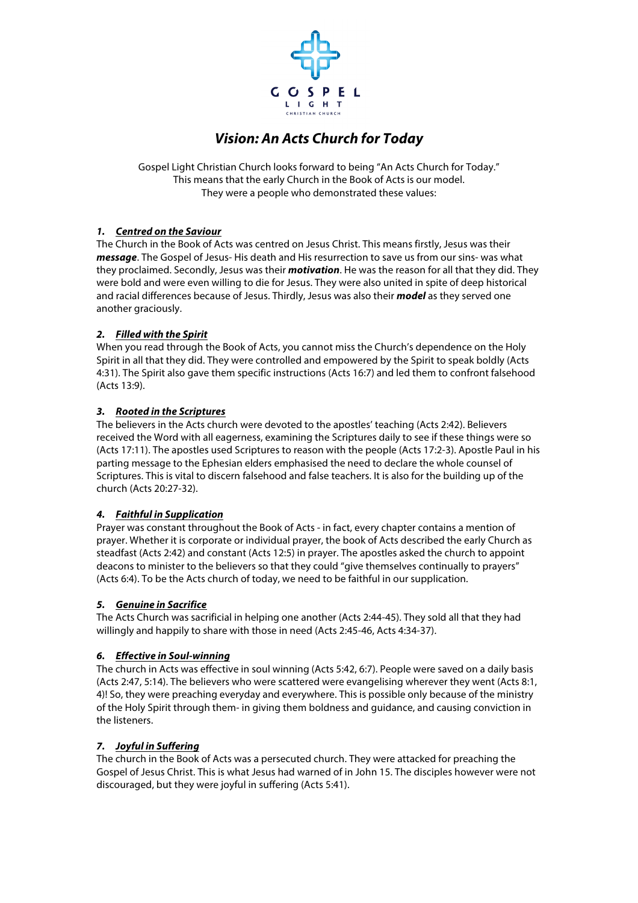

# *Vision: An Acts Church for Today*

Gospel Light Christian Church looks forward to being "An Acts Church for Today." This means that the early Church in the Book of Acts is our model. They were a people who demonstrated these values:

## *1. Centred on the Saviour*

The Church in the Book of Acts was centred on Jesus Christ. This means firstly, Jesus was their *message*. The Gospel of Jesus- His death and His resurrection to save us from our sins- was what they proclaimed. Secondly, Jesus was their *motivation*. He was the reason for all that they did. They were bold and were even willing to die for Jesus. They were also united in spite of deep historical and racial differences because of Jesus. Thirdly, Jesus was also their *model* as they served one another graciously.

### *2. Filled with the Spirit*

When you read through the Book of Acts, you cannot miss the Church's dependence on the Holy Spirit in all that they did. They were controlled and empowered by the Spirit to speak boldly (Acts 4:31). The Spirit also gave them specific instructions (Acts 16:7) and led them to confront falsehood (Acts 13:9).

### *3. Rooted in the Scriptures*

The believers in the Acts church were devoted to the apostles' teaching (Acts 2:42). Believers received the Word with all eagerness, examining the Scriptures daily to see if these things were so (Acts 17:11). The apostles used Scriptures to reason with the people (Acts 17:2-3). Apostle Paul in his parting message to the Ephesian elders emphasised the need to declare the whole counsel of Scriptures. This is vital to discern falsehood and false teachers. It is also for the building up of the church (Acts 20:27-32).

#### *4. Faithful in Supplication*

Prayer was constant throughout the Book of Acts - in fact, every chapter contains a mention of prayer. Whether it is corporate or individual prayer, the book of Acts described the early Church as steadfast (Acts 2:42) and constant (Acts 12:5) in prayer. The apostles asked the church to appoint deacons to minister to the believers so that they could "give themselves continually to prayers" (Acts 6:4). To be the Acts church of today, we need to be faithful in our supplication.

#### *5. Genuine in Sacrifice*

The Acts Church was sacrificial in helping one another (Acts 2:44-45). They sold all that they had willingly and happily to share with those in need (Acts 2:45-46, Acts 4:34-37).

#### *6. Effective in Soul-winning*

The church in Acts was effective in soul winning (Acts 5:42, 6:7). People were saved on a daily basis (Acts 2:47, 5:14). The believers who were scattered were evangelising wherever they went (Acts 8:1, 4)! So, they were preaching everyday and everywhere. This is possible only because of the ministry of the Holy Spirit through them- in giving them boldness and guidance, and causing conviction in the listeners.

#### *7. Joyful in Suffering*

The church in the Book of Acts was a persecuted church. They were attacked for preaching the Gospel of Jesus Christ. This is what Jesus had warned of in John 15. The disciples however were not discouraged, but they were joyful in suffering (Acts 5:41).